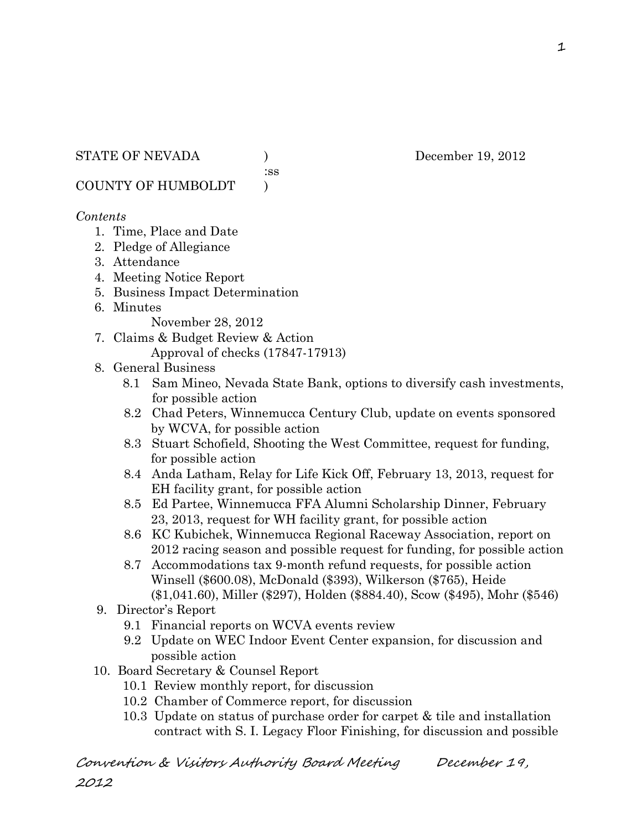:ss

COUNTY OF HUMBOLDT )

#### *Contents*

- 1. Time, Place and Date
- 2. Pledge of Allegiance
- 3. Attendance
- 4. Meeting Notice Report
- 5. Business Impact Determination
- 6. Minutes

November 28, 2012

- 7. Claims & Budget Review & Action Approval of checks (17847-17913)
- 8. General Business
	- 8.1 Sam Mineo, Nevada State Bank, options to diversify cash investments, for possible action
	- 8.2 Chad Peters, Winnemucca Century Club, update on events sponsored by WCVA, for possible action
	- 8.3 Stuart Schofield, Shooting the West Committee, request for funding, for possible action
	- 8.4 Anda Latham, Relay for Life Kick Off, February 13, 2013, request for EH facility grant, for possible action
	- 8.5 Ed Partee, Winnemucca FFA Alumni Scholarship Dinner, February 23, 2013, request for WH facility grant, for possible action
	- 8.6 KC Kubichek, Winnemucca Regional Raceway Association, report on 2012 racing season and possible request for funding, for possible action
	- 8.7 Accommodations tax 9-month refund requests, for possible action Winsell (\$600.08), McDonald (\$393), Wilkerson (\$765), Heide (\$1,041.60), Miller (\$297), Holden (\$884.40), Scow (\$495), Mohr (\$546)
- 9. Director's Report
	- 9.1 Financial reports on WCVA events review
	- 9.2 Update on WEC Indoor Event Center expansion, for discussion and possible action
- 10. Board Secretary & Counsel Report
	- 10.1 Review monthly report, for discussion
	- 10.2 Chamber of Commerce report, for discussion
	- 10.3 Update on status of purchase order for carpet & tile and installation contract with S. I. Legacy Floor Finishing, for discussion and possible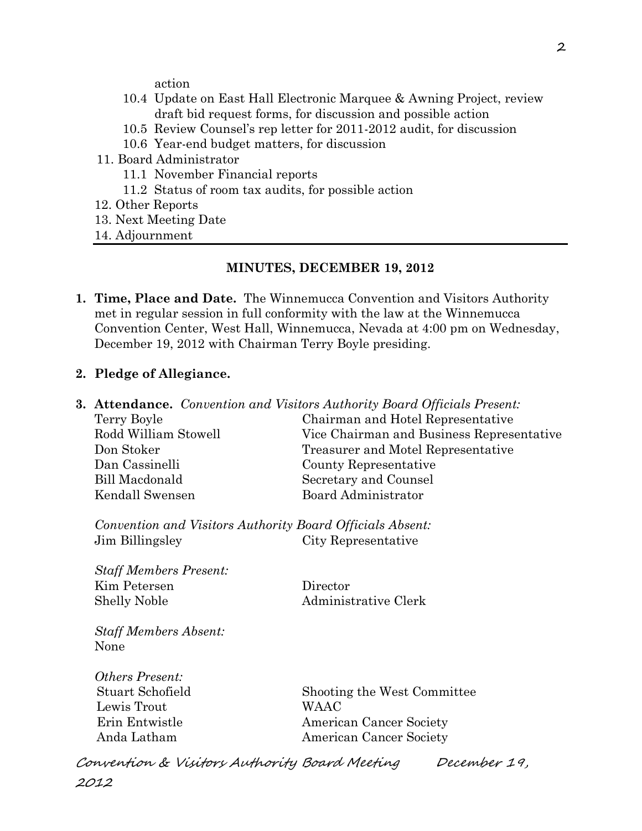action

- 10.4 Update on East Hall Electronic Marquee & Awning Project, review draft bid request forms, for discussion and possible action
- 10.5 Review Counsel's rep letter for 2011-2012 audit, for discussion
- 10.6 Year-end budget matters, for discussion
- 11. Board Administrator
	- 11.1 November Financial reports
	- 11.2 Status of room tax audits, for possible action
- 12. Other Reports
- 13. Next Meeting Date
- 14. Adjournment

#### **MINUTES, DECEMBER 19, 2012**

**1. Time, Place and Date.** The Winnemucca Convention and Visitors Authority met in regular session in full conformity with the law at the Winnemucca Convention Center, West Hall, Winnemucca, Nevada at 4:00 pm on Wednesday, December 19, 2012 with Chairman Terry Boyle presiding.

#### **2. Pledge of Allegiance.**

| <b>3. Attendance.</b> Convention and Visitors Authority Board Officials Present: |                                           |  |
|----------------------------------------------------------------------------------|-------------------------------------------|--|
| Terry Boyle                                                                      | Chairman and Hotel Representative         |  |
| Rodd William Stowell                                                             | Vice Chairman and Business Representative |  |
| Don Stoker                                                                       | Treasurer and Motel Representative        |  |
| Dan Cassinelli                                                                   | County Representative                     |  |
| <b>Bill Macdonald</b>                                                            | Secretary and Counsel                     |  |
| Kendall Swensen                                                                  | Board Administrator                       |  |
| Convention and Visitors Authority Board Officials Absent:                        |                                           |  |
| Jim Billingsley                                                                  | City Representative                       |  |
| <b>Staff Members Present:</b>                                                    |                                           |  |
| Kim Petersen                                                                     | Director                                  |  |
| <b>Shelly Noble</b>                                                              | Administrative Clerk                      |  |
| <b>Staff Members Absent:</b>                                                     |                                           |  |
| None                                                                             |                                           |  |
| <i><b>Others Present:</b></i>                                                    |                                           |  |
| Stuart Schofield                                                                 | Shooting the West Committee               |  |
| Lewis Trout                                                                      | <b>WAAC</b>                               |  |
| Erin Entwistle                                                                   | American Cancer Society                   |  |
| Anda Latham                                                                      | <b>American Cancer Society</b>            |  |
|                                                                                  |                                           |  |

Convention & Visitors Authority Board Meeting December 19, 2012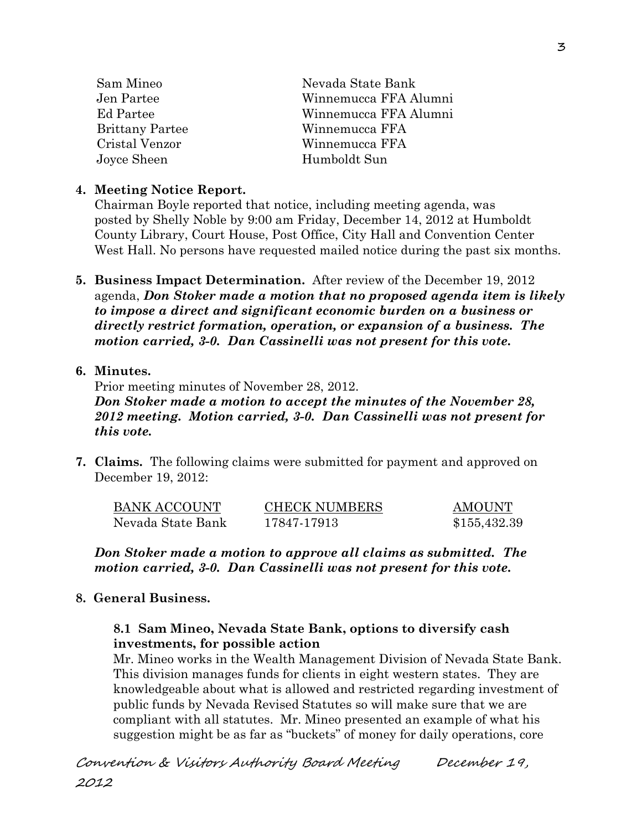| Sam Mineo              | Nevada State Bank     |
|------------------------|-----------------------|
| Jen Partee             | Winnemucca FFA Alumni |
| Ed Partee              | Winnemucca FFA Alumni |
| <b>Brittany Partee</b> | Winnemucca FFA        |
| Cristal Venzor         | Winnemucca FFA        |
| Joyce Sheen            | Humboldt Sun          |
|                        |                       |

#### **4. Meeting Notice Report.**

Chairman Boyle reported that notice, including meeting agenda, was posted by Shelly Noble by 9:00 am Friday, December 14, 2012 at Humboldt County Library, Court House, Post Office, City Hall and Convention Center West Hall. No persons have requested mailed notice during the past six months.

**5. Business Impact Determination.** After review of the December 19, 2012 agenda, *Don Stoker made a motion that no proposed agenda item is likely to impose a direct and significant economic burden on a business or directly restrict formation, operation, or expansion of a business. The motion carried, 3-0. Dan Cassinelli was not present for this vote.*

#### **6. Minutes.**

Prior meeting minutes of November 28, 2012.

*Don Stoker made a motion to accept the minutes of the November 28, 2012 meeting. Motion carried, 3-0. Dan Cassinelli was not present for this vote.* 

**7. Claims.** The following claims were submitted for payment and approved on December 19, 2012:

| <b>BANK ACCOUNT</b> | <b>CHECK NUMBERS</b> | <b>AMOUNT</b> |
|---------------------|----------------------|---------------|
| Nevada State Bank   | 17847-17913          | \$155,432.39  |

*Don Stoker made a motion to approve all claims as submitted. The motion carried, 3-0. Dan Cassinelli was not present for this vote.* 

## **8. General Business.**

## **8.1 Sam Mineo, Nevada State Bank, options to diversify cash investments, for possible action**

Mr. Mineo works in the Wealth Management Division of Nevada State Bank. This division manages funds for clients in eight western states. They are knowledgeable about what is allowed and restricted regarding investment of public funds by Nevada Revised Statutes so will make sure that we are compliant with all statutes. Mr. Mineo presented an example of what his suggestion might be as far as "buckets" of money for daily operations, core

Convention & Visitors Authority Board Meeting December 19, 2012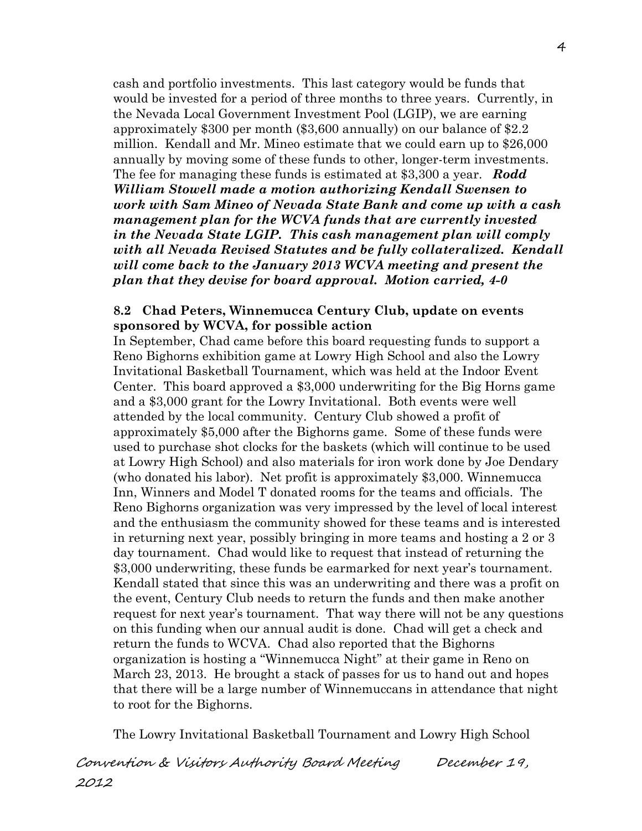cash and portfolio investments. This last category would be funds that would be invested for a period of three months to three years. Currently, in the Nevada Local Government Investment Pool (LGIP), we are earning approximately \$300 per month (\$3,600 annually) on our balance of \$2.2 million. Kendall and Mr. Mineo estimate that we could earn up to \$26,000 annually by moving some of these funds to other, longer-term investments. The fee for managing these funds is estimated at \$3,300 a year. *Rodd William Stowell made a motion authorizing Kendall Swensen to work with Sam Mineo of Nevada State Bank and come up with a cash management plan for the WCVA funds that are currently invested in the Nevada State LGIP. This cash management plan will comply with all Nevada Revised Statutes and be fully collateralized. Kendall will come back to the January 2013 WCVA meeting and present the plan that they devise for board approval. Motion carried, 4-0*

#### **8.2 Chad Peters, Winnemucca Century Club, update on events sponsored by WCVA, for possible action**

In September, Chad came before this board requesting funds to support a Reno Bighorns exhibition game at Lowry High School and also the Lowry Invitational Basketball Tournament, which was held at the Indoor Event Center. This board approved a \$3,000 underwriting for the Big Horns game and a \$3,000 grant for the Lowry Invitational. Both events were well attended by the local community. Century Club showed a profit of approximately \$5,000 after the Bighorns game. Some of these funds were used to purchase shot clocks for the baskets (which will continue to be used at Lowry High School) and also materials for iron work done by Joe Dendary (who donated his labor). Net profit is approximately \$3,000. Winnemucca Inn, Winners and Model T donated rooms for the teams and officials. The Reno Bighorns organization was very impressed by the level of local interest and the enthusiasm the community showed for these teams and is interested in returning next year, possibly bringing in more teams and hosting a 2 or 3 day tournament. Chad would like to request that instead of returning the \$3,000 underwriting, these funds be earmarked for next year's tournament. Kendall stated that since this was an underwriting and there was a profit on the event, Century Club needs to return the funds and then make another request for next year's tournament. That way there will not be any questions on this funding when our annual audit is done. Chad will get a check and return the funds to WCVA. Chad also reported that the Bighorns organization is hosting a "Winnemucca Night" at their game in Reno on March 23, 2013. He brought a stack of passes for us to hand out and hopes that there will be a large number of Winnemuccans in attendance that night to root for the Bighorns.

The Lowry Invitational Basketball Tournament and Lowry High School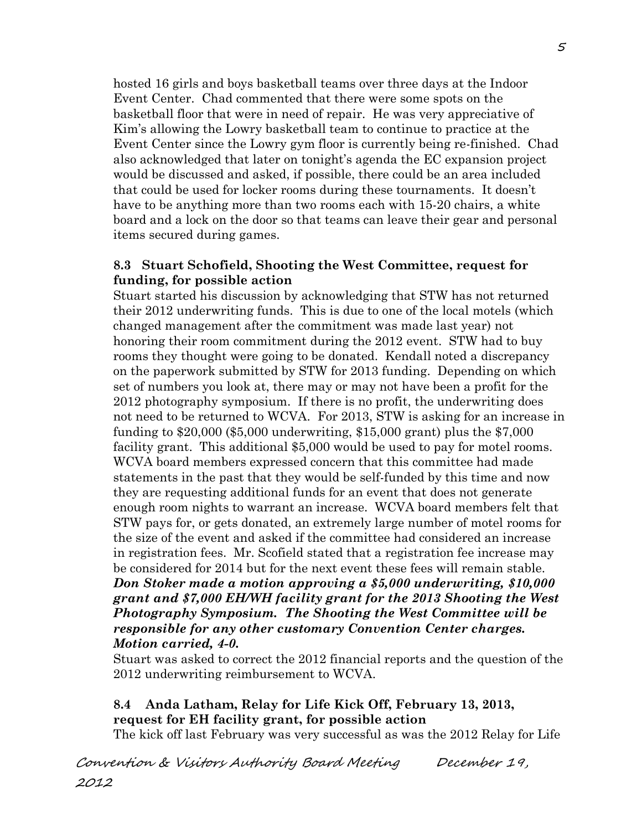hosted 16 girls and boys basketball teams over three days at the Indoor Event Center. Chad commented that there were some spots on the basketball floor that were in need of repair. He was very appreciative of Kim's allowing the Lowry basketball team to continue to practice at the Event Center since the Lowry gym floor is currently being re-finished. Chad also acknowledged that later on tonight's agenda the EC expansion project would be discussed and asked, if possible, there could be an area included that could be used for locker rooms during these tournaments. It doesn't have to be anything more than two rooms each with 15-20 chairs, a white board and a lock on the door so that teams can leave their gear and personal items secured during games.

#### **8.3 Stuart Schofield, Shooting the West Committee, request for funding, for possible action**

Stuart started his discussion by acknowledging that STW has not returned their 2012 underwriting funds. This is due to one of the local motels (which changed management after the commitment was made last year) not honoring their room commitment during the 2012 event. STW had to buy rooms they thought were going to be donated. Kendall noted a discrepancy on the paperwork submitted by STW for 2013 funding. Depending on which set of numbers you look at, there may or may not have been a profit for the 2012 photography symposium. If there is no profit, the underwriting does not need to be returned to WCVA. For 2013, STW is asking for an increase in funding to \$20,000 (\$5,000 underwriting, \$15,000 grant) plus the \$7,000 facility grant. This additional \$5,000 would be used to pay for motel rooms. WCVA board members expressed concern that this committee had made statements in the past that they would be self-funded by this time and now they are requesting additional funds for an event that does not generate enough room nights to warrant an increase. WCVA board members felt that STW pays for, or gets donated, an extremely large number of motel rooms for the size of the event and asked if the committee had considered an increase in registration fees. Mr. Scofield stated that a registration fee increase may be considered for 2014 but for the next event these fees will remain stable. *Don Stoker made a motion approving a \$5,000 underwriting, \$10,000 grant and \$7,000 EH/WH facility grant for the 2013 Shooting the West Photography Symposium. The Shooting the West Committee will be responsible for any other customary Convention Center charges. Motion carried, 4-0.*

Stuart was asked to correct the 2012 financial reports and the question of the 2012 underwriting reimbursement to WCVA.

## **8.4 Anda Latham, Relay for Life Kick Off, February 13, 2013, request for EH facility grant, for possible action**

The kick off last February was very successful as was the 2012 Relay for Life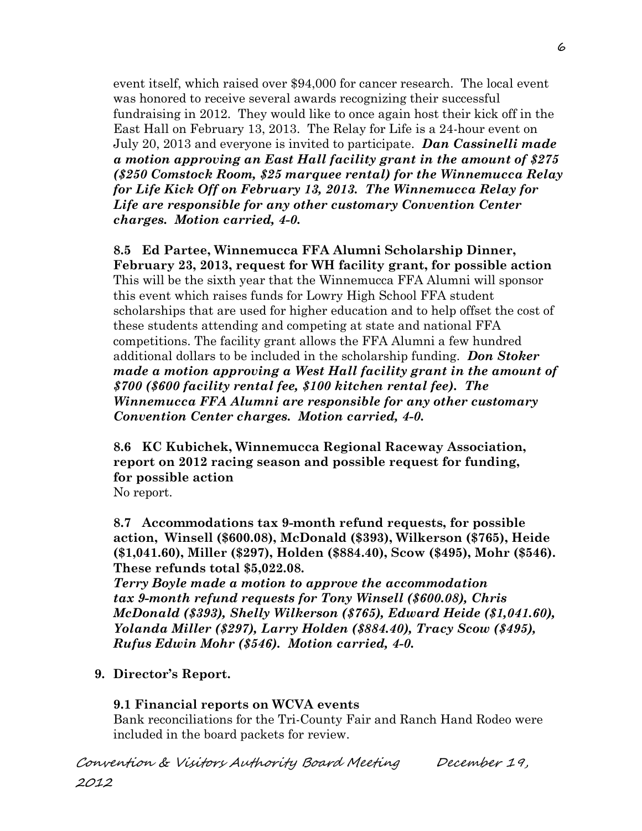event itself, which raised over \$94,000 for cancer research. The local event was honored to receive several awards recognizing their successful fundraising in 2012. They would like to once again host their kick off in the East Hall on February 13, 2013. The Relay for Life is a 24-hour event on July 20, 2013 and everyone is invited to participate. *Dan Cassinelli made a motion approving an East Hall facility grant in the amount of \$275 (\$250 Comstock Room, \$25 marquee rental) for the Winnemucca Relay for Life Kick Off on February 13, 2013. The Winnemucca Relay for Life are responsible for any other customary Convention Center charges. Motion carried, 4-0.* 

#### **8.5 Ed Partee, Winnemucca FFA Alumni Scholarship Dinner, February 23, 2013, request for WH facility grant, for possible action** This will be the sixth year that the Winnemucca FFA Alumni will sponsor this event which raises funds for Lowry High School FFA student scholarships that are used for higher education and to help offset the cost of these students attending and competing at state and national FFA competitions. The facility grant allows the FFA Alumni a few hundred additional dollars to be included in the scholarship funding. *Don Stoker made a motion approving a West Hall facility grant in the amount of \$700 (\$600 facility rental fee, \$100 kitchen rental fee). The Winnemucca FFA Alumni are responsible for any other customary Convention Center charges. Motion carried, 4-0.*

**8.6 KC Kubichek, Winnemucca Regional Raceway Association, report on 2012 racing season and possible request for funding, for possible action**

No report.

**8.7 Accommodations tax 9-month refund requests, for possible action, Winsell (\$600.08), McDonald (\$393), Wilkerson (\$765), Heide (\$1,041.60), Miller (\$297), Holden (\$884.40), Scow (\$495), Mohr (\$546). These refunds total \$5,022.08.**

*Terry Boyle made a motion to approve the accommodation tax 9-month refund requests for Tony Winsell (\$600.08), Chris McDonald (\$393), Shelly Wilkerson (\$765), Edward Heide (\$1,041.60), Yolanda Miller (\$297), Larry Holden (\$884.40), Tracy Scow (\$495), Rufus Edwin Mohr (\$546). Motion carried, 4-0.* 

# **9. Director's Report.**

## **9.1 Financial reports on WCVA events**

Bank reconciliations for the Tri-County Fair and Ranch Hand Rodeo were included in the board packets for review.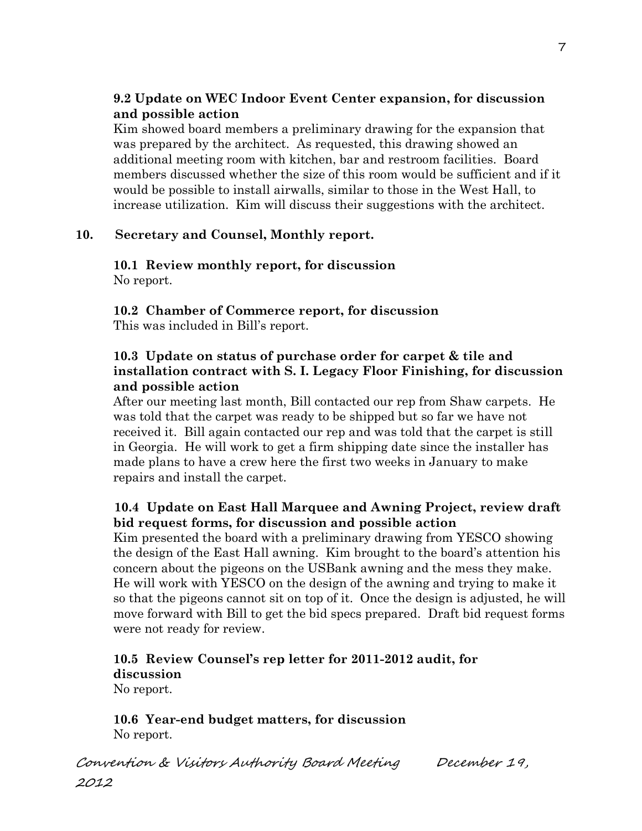## **9.2 Update on WEC Indoor Event Center expansion, for discussion and possible action**

Kim showed board members a preliminary drawing for the expansion that was prepared by the architect. As requested, this drawing showed an additional meeting room with kitchen, bar and restroom facilities. Board members discussed whether the size of this room would be sufficient and if it would be possible to install airwalls, similar to those in the West Hall, to increase utilization. Kim will discuss their suggestions with the architect.

#### **10. Secretary and Counsel, Monthly report.**

**10.1 Review monthly report, for discussion** No report.

**10.2 Chamber of Commerce report, for discussion** This was included in Bill's report.

#### **10.3 Update on status of purchase order for carpet & tile and installation contract with S. I. Legacy Floor Finishing, for discussion and possible action**

After our meeting last month, Bill contacted our rep from Shaw carpets. He was told that the carpet was ready to be shipped but so far we have not received it. Bill again contacted our rep and was told that the carpet is still in Georgia. He will work to get a firm shipping date since the installer has made plans to have a crew here the first two weeks in January to make repairs and install the carpet.

## **10.4 Update on East Hall Marquee and Awning Project, review draft bid request forms, for discussion and possible action**

Kim presented the board with a preliminary drawing from YESCO showing the design of the East Hall awning. Kim brought to the board's attention his concern about the pigeons on the USBank awning and the mess they make. He will work with YESCO on the design of the awning and trying to make it so that the pigeons cannot sit on top of it. Once the design is adjusted, he will move forward with Bill to get the bid specs prepared. Draft bid request forms were not ready for review.

# **10.5 Review Counsel's rep letter for 2011-2012 audit, for discussion**

No report.

**10.6 Year-end budget matters, for discussion**  No report.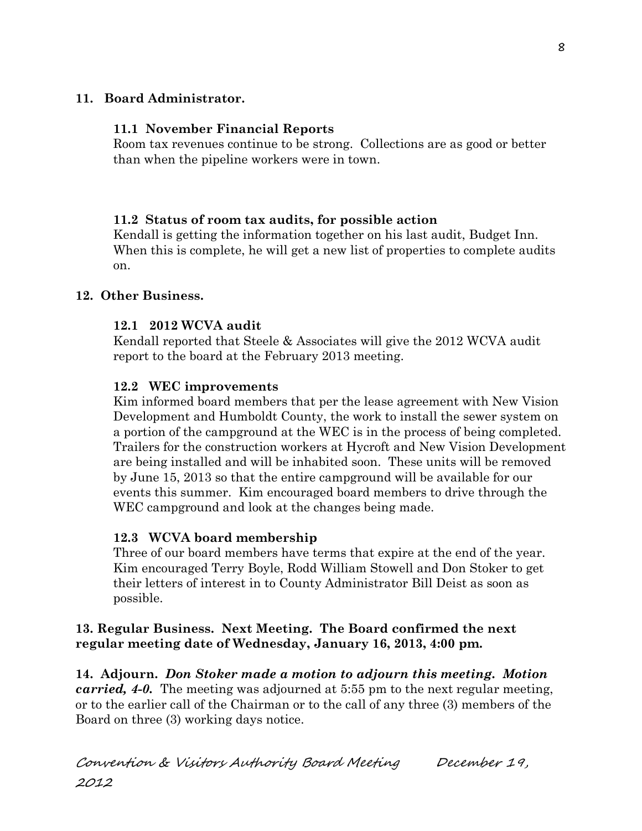## **11. Board Administrator.**

## **11.1 November Financial Reports**

Room tax revenues continue to be strong. Collections are as good or better than when the pipeline workers were in town.

## **11.2 Status of room tax audits, for possible action**

Kendall is getting the information together on his last audit, Budget Inn. When this is complete, he will get a new list of properties to complete audits on.

## **12. Other Business.**

## **12.1 2012 WCVA audit**

Kendall reported that Steele & Associates will give the 2012 WCVA audit report to the board at the February 2013 meeting.

## **12.2 WEC improvements**

Kim informed board members that per the lease agreement with New Vision Development and Humboldt County, the work to install the sewer system on a portion of the campground at the WEC is in the process of being completed. Trailers for the construction workers at Hycroft and New Vision Development are being installed and will be inhabited soon. These units will be removed by June 15, 2013 so that the entire campground will be available for our events this summer. Kim encouraged board members to drive through the WEC campground and look at the changes being made.

## **12.3 WCVA board membership**

Three of our board members have terms that expire at the end of the year. Kim encouraged Terry Boyle, Rodd William Stowell and Don Stoker to get their letters of interest in to County Administrator Bill Deist as soon as possible.

## **13. Regular Business. Next Meeting. The Board confirmed the next regular meeting date of Wednesday, January 16, 2013, 4:00 pm.**

**14. Adjourn.** *Don Stoker made a motion to adjourn this meeting. Motion carried, 4-0.* The meeting was adjourned at 5:55 pm to the next regular meeting, or to the earlier call of the Chairman or to the call of any three (3) members of the Board on three (3) working days notice.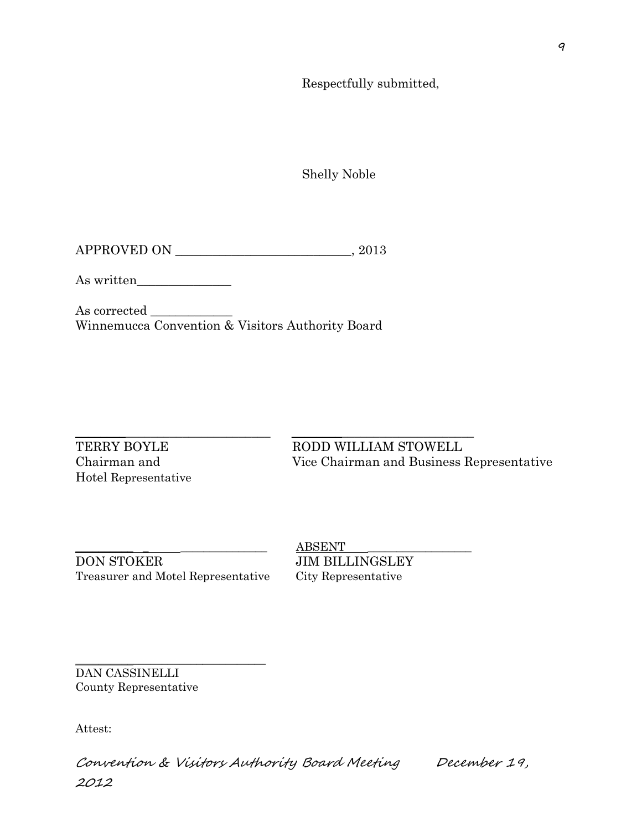Respectfully submitted,

Shelly Noble

APPROVED ON \_\_\_\_\_\_\_\_\_\_\_\_\_\_\_\_\_\_\_\_\_\_\_\_\_\_\_\_, 2013

As written\_\_\_\_\_\_\_\_\_\_\_\_\_\_\_

As corrected \_\_\_\_\_\_\_\_\_\_\_\_\_ Winnemucca Convention & Visitors Authority Board

 $\_$  ,  $\_$  ,  $\_$  ,  $\_$  ,  $\_$  ,  $\_$  ,  $\_$  ,  $\_$  ,  $\_$  ,  $\_$  ,  $\_$  ,  $\_$  ,  $\_$  ,  $\_$  ,  $\_$  ,  $\_$  ,  $\_$  ,  $\_$  ,  $\_$  ,  $\_$  ,  $\_$  ,  $\_$  ,  $\_$  ,  $\_$  ,  $\_$  ,  $\_$  ,  $\_$  ,  $\_$  ,  $\_$  ,  $\_$  ,  $\_$  ,  $\_$  ,  $\_$  ,  $\_$  ,  $\_$  ,  $\_$  ,  $\_$  ,

Hotel Representative

TERRY BOYLE RODD WILLIAM STOWELL Chairman and Vice Chairman and Business Representative

DON STOKER JIM BILLINGSLEY Treasurer and Motel Representative City Representative

\_\_\_\_\_\_\_\_\_\_\_\_\_\_\_\_\_\_\_\_\_\_\_\_\_\_\_\_\_\_\_\_\_

 $ABSENT$ 

DAN CASSINELLI County Representative

Attest:

Convention & Visitors Authority Board Meeting December 19, 2012